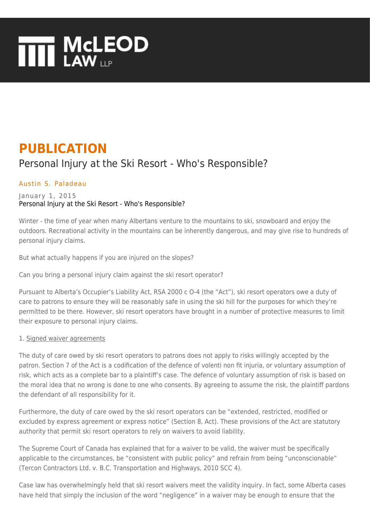# **THE MCLEOD**

## **PUBLICATION**

### Personal Injury at the Ski Resort - Who's Responsible?

#### [Austin S. Paladeau](https://www.mcleod-law.com/professionals/austin-s-paladeau/)

#### January 1, 2015 Personal Injury at the Ski Resort - Who's Responsible?

Winter - the time of year when many Albertans venture to the mountains to ski, snowboard and enjoy the outdoors. Recreational activity in the mountains can be inherently dangerous, and may give rise to hundreds of personal injury claims.

But what actually happens if you are injured on the slopes?

Can you bring a personal injury claim against the ski resort operator?

Pursuant to Alberta's Occupier's Liability Act, RSA 2000 c O-4 (the "Act"), ski resort operators owe a duty of care to patrons to ensure they will be reasonably safe in using the ski hill for the purposes for which they're permitted to be there. However, ski resort operators have brought in a number of protective measures to limit their exposure to personal injury claims.

#### 1. Signed waiver agreements

The duty of care owed by ski resort operators to patrons does not apply to risks willingly accepted by the patron. Section 7 of the Act is a codification of the defence of volenti non fit injuria, or voluntary assumption of risk, which acts as a complete bar to a plaintiff's case. The defence of voluntary assumption of risk is based on the moral idea that no wrong is done to one who consents. By agreeing to assume the risk, the plaintiff pardons the defendant of all responsibility for it.

Furthermore, the duty of care owed by the ski resort operators can be "extended, restricted, modified or excluded by express agreement or express notice" (Section 8, Act). These provisions of the Act are statutory authority that permit ski resort operators to rely on waivers to avoid liability.

The Supreme Court of Canada has explained that for a waiver to be valid, the waiver must be specifically applicable to the circumstances, be "consistent with public policy" and refrain from being "unconscionable" (Tercon Contractors Ltd. v. B.C. Transportation and Highways, 2010 SCC 4).

Case law has overwhelmingly held that ski resort waivers meet the validity inquiry. In fact, some Alberta cases have held that simply the inclusion of the word "negligence" in a waiver may be enough to ensure that the